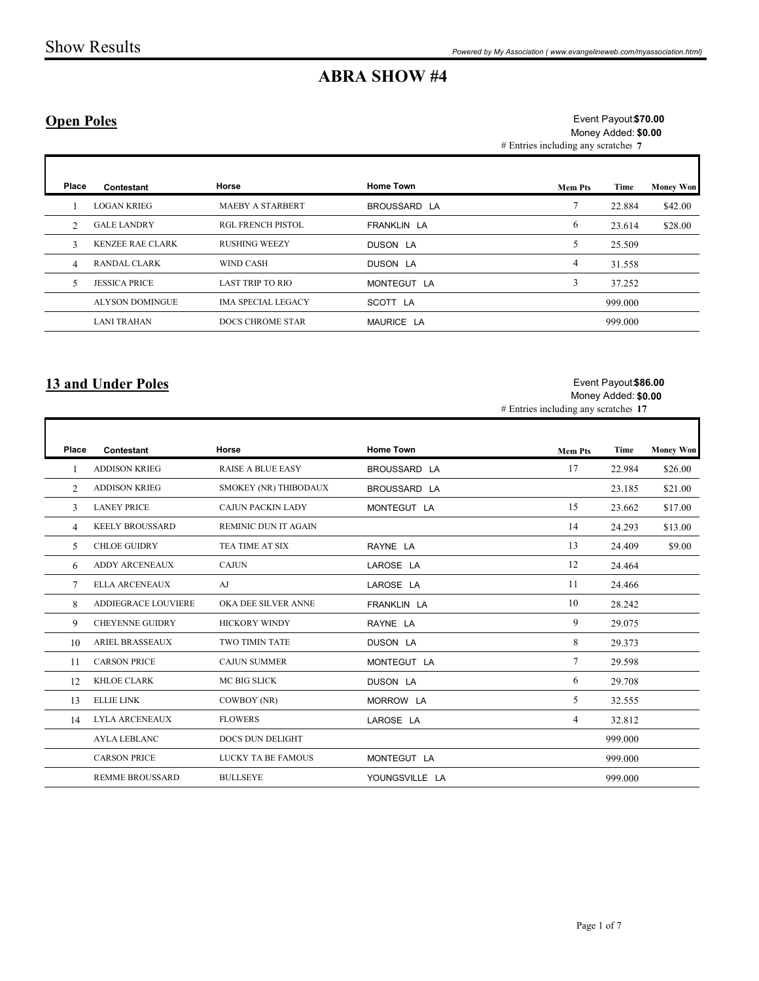## Open Poles

|                   | <b>Show Results</b>       |                           |                     | Powered by My Association (www.evangelineweb.com/myassociation.html) |                                             |                  |
|-------------------|---------------------------|---------------------------|---------------------|----------------------------------------------------------------------|---------------------------------------------|------------------|
|                   |                           |                           | <b>ABRA SHOW #4</b> |                                                                      |                                             |                  |
| <b>Open Poles</b> |                           |                           |                     | # Entries including any scratches 7                                  | Event Payout \$70.00<br>Money Added: \$0.00 |                  |
| Place             | Contestant                | Horse                     | <b>Home Town</b>    | <b>Mem Pts</b>                                                       | Time                                        | <b>Money Won</b> |
| -1                | <b>LOGAN KRIEG</b>        | MAEBY A STARBERT          | BROUSSARD LA        | $7\phantom{.0}$                                                      | 22.884                                      | \$42.00          |
| 2                 | <b>GALE LANDRY</b>        | RGL FRENCH PISTOL         | FRANKLIN LA         | 6                                                                    | 23.614                                      | \$28.00          |
| $\mathfrak{Z}$    | <b>KENZEE RAE CLARK</b>   | <b>RUSHING WEEZY</b>      | DUSON LA            | $5\overline{)}$                                                      | 25.509                                      |                  |
| 4                 | RANDAL CLARK              | <b>WIND CASH</b>          | DUSON LA            | $\overline{4}$                                                       | 31.558                                      |                  |
| 5                 | <b>JESSICA PRICE</b>      | LAST TRIP TO RIO          | MONTEGUT LA         | $\mathfrak{Z}$                                                       | 37.252                                      |                  |
|                   | ALYSON DOMINGUE           | <b>IMA SPECIAL LEGACY</b> | SCOTT LA            |                                                                      | 999.000                                     |                  |
|                   | <b>LANI TRAHAN</b>        | DOCS CHROME STAR          | MAURICE LA          |                                                                      | 999.000                                     |                  |
|                   | <b>13 and Under Poles</b> |                           |                     | # Entries including any scratches 17                                 | Event Payout \$86.00<br>Money Added: \$0.00 |                  |
|                   |                           |                           |                     |                                                                      |                                             |                  |
| Place             | Contestant                | Horse                     | <b>Home Town</b>    | <b>Mem Pts</b>                                                       | Time                                        | <b>Money Won</b> |
| $\mathbf{1}$      | ADDISON KRIEG             | RAISE A BLUE EASY         | BROUSSARD LA        | 17                                                                   | 22.984                                      | \$26.00          |
| $\overline{2}$    | <b>ADDISON KRIEG</b>      | SMOKEY (NR) THIBODAUX     | BROUSSARD LA        |                                                                      | 23.185                                      | \$21.00          |
| 3 <sup>7</sup>    | <b>LANEY PRICE</b>        | CAJUN PACKIN LADY         | MONTEGUT LA         | 15                                                                   | 23.662                                      | \$17.00          |
| $\overline{4}$    | <b>KEELY BROUSSARD</b>    | REMINIC DUN IT AGAIN      |                     | 14                                                                   | 24.293                                      | \$13.00          |
| 5                 | CHLOE GUIDRY              | TEA TIME AT SIX           | RAYNE LA            | 13                                                                   | 24.409                                      | \$9.00           |
|                   | 6 ADDY ARCENEAUX          | $\operatorname{CAJUN}$    | LAROSE LA           | 12                                                                   | 24.464                                      |                  |

## 13 and Under Poles

#### Event Payout \$86.00 Money Added: \$0.00

| <b>Ріасе</b>   | Contestant                | Horse                     | <b>Home Town</b> | <b>Mem Pts</b>                       | Time                                        | <b>Money Won</b> |
|----------------|---------------------------|---------------------------|------------------|--------------------------------------|---------------------------------------------|------------------|
| -1             | <b>LOGAN KRIEG</b>        | <b>MAEBY A STARBERT</b>   | BROUSSARD LA     | $7\phantom{.0}$                      | 22.884                                      | \$42.00          |
| $\overline{2}$ | <b>GALE LANDRY</b>        | <b>RGL FRENCH PISTOL</b>  | FRANKLIN LA      | 6                                    | 23.614                                      | \$28.00          |
| $\mathbf{3}$   | KENZEE RAE CLARK          | <b>RUSHING WEEZY</b>      | DUSON LA         | 5                                    | 25.509                                      |                  |
| $\overline{4}$ | RANDAL CLARK              | WIND CASH                 | DUSON LA         | $\overline{4}$                       | 31.558                                      |                  |
| 5              | <b>JESSICA PRICE</b>      | <b>LAST TRIP TO RIO</b>   | MONTEGUT LA      | $\mathbf{3}$                         | 37.252                                      |                  |
|                | <b>ALYSON DOMINGUE</b>    | <b>IMA SPECIAL LEGACY</b> | SCOTT LA         |                                      | 999.000                                     |                  |
|                | <b>LANI TRAHAN</b>        | DOCS CHROME STAR          | MAURICE LA       |                                      | 999.000                                     |                  |
|                | <b>13 and Under Poles</b> |                           |                  | # Entries including any scratches 17 | Event Payout \$86.00<br>Money Added: \$0.00 |                  |
|                |                           |                           |                  |                                      |                                             |                  |
| Place          | Contestant                | Horse                     | <b>Home Town</b> | <b>Mem Pts</b>                       | Time                                        | <b>Money Won</b> |
|                | <b>ADDISON KRIEG</b>      | <b>RAISE A BLUE EASY</b>  | BROUSSARD LA     | 17                                   | 22.984                                      | \$26.00          |
| 2              | <b>ADDISON KRIEG</b>      | SMOKEY (NR) THIBODAUX     | BROUSSARD LA     |                                      | 23.185                                      | \$21.00          |
| 3              | <b>LANEY PRICE</b>        | CAJUN PACKIN LADY         | MONTEGUT LA      | 15                                   | 23.662                                      | \$17.00          |
| $\overline{4}$ | <b>KEELY BROUSSARD</b>    | REMINIC DUN IT AGAIN      |                  | 14                                   | 24.293                                      | \$13.00          |
| 5              | <b>CHLOE GUIDRY</b>       | TEA TIME AT SIX           | RAYNE LA         | 13                                   | 24.409                                      | \$9.00           |
| 6              | ADDY ARCENEAUX            | <b>CAJUN</b>              | LAROSE LA        | 12                                   | 24.464                                      |                  |
| $\tau$         | ELLA ARCENEAUX            | AJ                        | LAROSE LA        | 11                                   | 24.466                                      |                  |
| 8              | ADDIEGRACE LOUVIERE       | OKA DEE SILVER ANNE       | FRANKLIN LA      | 10                                   | 28.242                                      |                  |
| 9              | <b>CHEYENNE GUIDRY</b>    | <b>HICKORY WINDY</b>      | RAYNE LA         | 9                                    | 29.075                                      |                  |
| 10             | ARIEL BRASSEAUX           | TWO TIMIN TATE            | DUSON LA         | $\,8\,$                              | 29.373                                      |                  |
| 11             | <b>CARSON PRICE</b>       | <b>CAJUN SUMMER</b>       | MONTEGUT LA      | $7\phantom{.0}$                      | 29.598                                      |                  |
| 12             | KHLOE CLARK               | MC BIG SLICK              | DUSON LA         | 6                                    | 29.708                                      |                  |
| 13             | <b>ELLIE LINK</b>         | COWBOY (NR)               | MORROW LA        | 5                                    | 32.555                                      |                  |
| 14             | LYLA ARCENEAUX            | <b>FLOWERS</b>            | LAROSE LA        | $\overline{4}$                       | 32.812                                      |                  |
|                | AYLA LEBLANC              | DOCS DUN DELIGHT          |                  |                                      | 999.000                                     |                  |
|                | <b>CARSON PRICE</b>       | LUCKY TA BE FAMOUS        | MONTEGUT LA      |                                      | 999.000                                     |                  |
|                | <b>REMME BROUSSARD</b>    | <b>BULLSEYE</b>           | YOUNGSVILLE LA   |                                      | 999.000                                     |                  |
|                |                           |                           |                  |                                      |                                             |                  |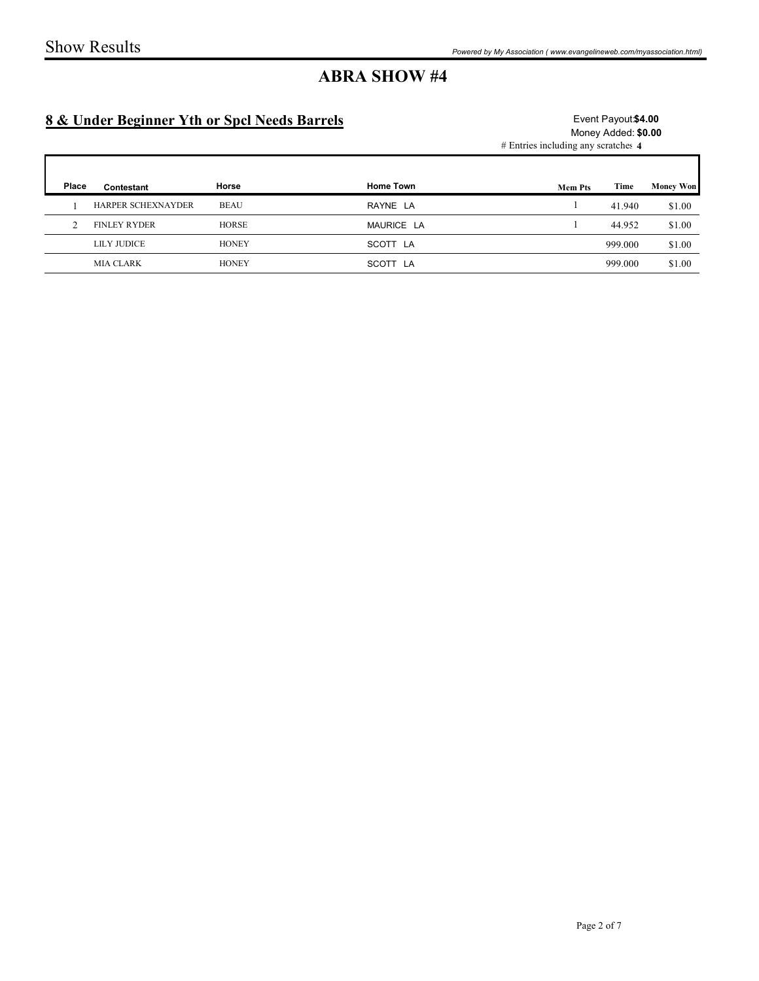## 8 & Under Beginner Yth or Spcl Needs Barrels

### Event Payout \$4.00 Money Added: \$0.00

|                | <b>Show Results</b>                          |              |                     | Powered by My Association (www.evangelineweb.com/myassociation.html) |                                            |                  |
|----------------|----------------------------------------------|--------------|---------------------|----------------------------------------------------------------------|--------------------------------------------|------------------|
|                | 8 & Under Beginner Yth or Spcl Needs Barrels |              | <b>ABRA SHOW #4</b> | # Entries including any scratches 4                                  | Event Payout \$4.00<br>Money Added: \$0.00 |                  |
|                |                                              |              |                     |                                                                      |                                            |                  |
| Place          | Contestant                                   | Horse        | Home Town           | <b>Mem Pts</b>                                                       | Time                                       | <b>Money Won</b> |
| $\mathbf{1}$   | HARPER SCHEXNAYDER                           | <b>BEAU</b>  | RAYNE LA            | $\overline{1}$                                                       | 41.940                                     | \$1.00           |
| $\overline{2}$ | <b>FINLEY RYDER</b>                          | HORSE        | MAURICE LA          |                                                                      | 44.952                                     | \$1.00           |
|                | LILY JUDICE                                  | <b>HONEY</b> | SCOTT LA            |                                                                      | 999.000                                    | \$1.00           |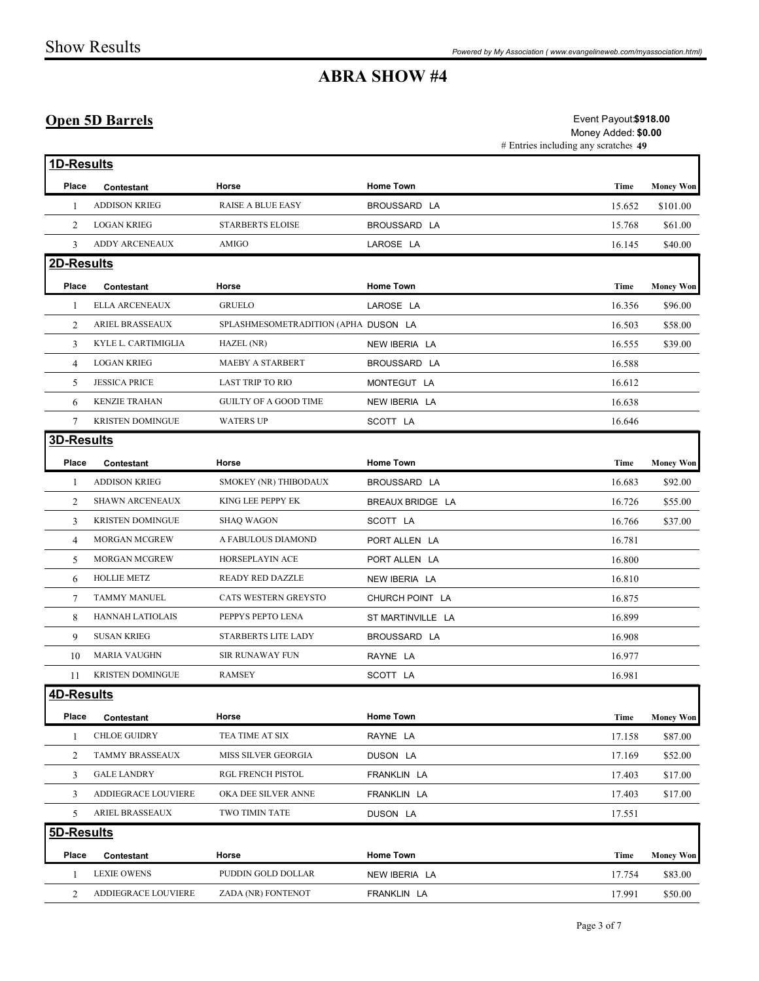## Open 5D Barrels

|                                  |                                            |                                             | <b>ABRA SHOW #4</b>         | Powered by My Association (www.evangelineweb.com/myassociation.html)                 |                  |
|----------------------------------|--------------------------------------------|---------------------------------------------|-----------------------------|--------------------------------------------------------------------------------------|------------------|
|                                  |                                            |                                             |                             |                                                                                      |                  |
|                                  | <b>Open 5D Barrels</b>                     |                                             |                             | Event Payout \$918.00<br>Money Added: \$0.00<br># Entries including any scratches 49 |                  |
| 1D-Results                       |                                            |                                             |                             |                                                                                      |                  |
| Place                            | Contestant                                 | Horse                                       | <b>Home Town</b>            | Time                                                                                 | <b>Money Won</b> |
|                                  | <b>ADDISON KRIEG</b>                       | <b>RAISE A BLUE EASY</b>                    | BROUSSARD LA                | 15.652                                                                               | \$101.00         |
| 2                                | <b>LOGAN KRIEG</b>                         | <b>STARBERTS ELOISE</b>                     | BROUSSARD LA                | 15.768                                                                               | \$61.00          |
| 3                                | ADDY ARCENEAUX                             | AMIGO                                       | LAROSE LA                   | 16.145                                                                               | \$40.00          |
| 2D-Results                       |                                            |                                             |                             |                                                                                      |                  |
| Place                            | Contestant                                 | Horse                                       | <b>Home Town</b>            | Time                                                                                 | <b>Money Won</b> |
|                                  | ELLA ARCENEAUX                             | <b>GRUELO</b>                               | LAROSE LA                   | 16.356                                                                               | \$96.00          |
| 2                                | ARIEL BRASSEAUX                            | SPLASHMESOMETRADITION (APHA DUSON LA        |                             | 16.503                                                                               | \$58.00          |
| 3                                | KYLE L. CARTIMIGLIA                        | HAZEL (NR)                                  | NEW IBERIA LA               | 16.555                                                                               | \$39.00          |
| $\overline{4}$<br>$\overline{5}$ | <b>LOGAN KRIEG</b><br><b>JESSICA PRICE</b> | MAEBY A STARBERT<br><b>LAST TRIP TO RIO</b> | BROUSSARD LA<br>MONTEGUT LA | 16.588<br>16.612                                                                     |                  |
| 6                                | <b>KENZIE TRAHAN</b>                       | <b>GUILTY OF A GOOD TIME</b>                | NEW IBERIA LA               | 16.638                                                                               |                  |
| 7                                | <b>KRISTEN DOMINGUE</b>                    | <b>WATERS UP</b>                            | SCOTT LA                    | 16.646                                                                               |                  |
| 3D-Results                       |                                            |                                             |                             |                                                                                      |                  |
| Place                            | Contestant                                 | Horse                                       | Home Town                   | Time                                                                                 | <b>Money Won</b> |
| -1                               | <b>ADDISON KRIEG</b>                       | SMOKEY (NR) THIBODAUX                       | BROUSSARD LA                | 16.683                                                                               | \$92.00          |
| 2                                | <b>SHAWN ARCENEAUX</b>                     | KING LEE PEPPY EK                           | BREAUX BRIDGE LA            | 16.726                                                                               | \$55.00          |
| 3                                | <b>KRISTEN DOMINGUE</b>                    | <b>SHAQ WAGON</b>                           | SCOTT LA                    | 16.766                                                                               | \$37.00          |
| 4                                | MORGAN MCGREW                              | A FABULOUS DIAMOND                          | PORT ALLEN LA               | 16.781                                                                               |                  |
| 5                                | MORGAN MCGREW                              | HORSEPLAYIN ACE                             | PORT ALLEN LA               | 16.800                                                                               |                  |
|                                  | 6 HOLLIE METZ                              | <b>READY RED DAZZLE</b>                     | NEW IBERIA LA               | 16.810                                                                               |                  |
| 7                                | <b>TAMMY MANUEL</b>                        | CATS WESTERN GREYSTO                        | CHURCH POINT LA             | 16.875                                                                               |                  |
| 8                                | HANNAH LATIOLAIS                           | PEPPYS PEPTO LENA                           | ST MARTINVILLE LA           | 16.899                                                                               |                  |
| 9                                | SUSAN KRIEG                                | STARBERTS LITE LADY                         | BROUSSARD LA                | 16.908                                                                               |                  |
|                                  | 10 MARIA VAUGHN                            | SIR RUNAWAY FUN                             | RAYNE LA                    | 16.977                                                                               |                  |
|                                  | 11 KRISTEN DOMINGUE                        | RAMSEY                                      | SCOTT LA                    | 16.981                                                                               |                  |
| 4D-Results                       |                                            |                                             |                             |                                                                                      |                  |
| Place                            | Contestant                                 | Horse                                       | Home Town                   | Time                                                                                 | <b>Money Won</b> |
| -1                               | <b>CHLOE GUIDRY</b>                        | TEA TIME AT SIX                             | RAYNE LA                    | 17.158                                                                               | \$87.00          |
| 2                                | TAMMY BRASSEAUX                            | MISS SILVER GEORGIA                         | DUSON LA                    | 17.169                                                                               | \$52.00          |
| 3                                | <b>GALE LANDRY</b>                         | RGL FRENCH PISTOL                           | FRANKLIN LA                 | 17.403                                                                               | \$17.00          |
| 3                                | ADDIEGRACE LOUVIERE                        | OKA DEE SILVER ANNE                         | FRANKLIN LA                 | 17.403                                                                               | \$17.00          |
| 5                                | ARIEL BRASSEAUX                            | TWO TIMIN TATE                              | DUSON LA                    | 17.551                                                                               |                  |
| 5D-Results                       |                                            |                                             |                             |                                                                                      |                  |
| Place                            | Contestant                                 | Horse                                       | Home Town                   | Time                                                                                 | <b>Money Won</b> |
|                                  |                                            | PUDDIN GOLD DOLLAR                          | NEW IBERIA LA               | 17.754                                                                               | \$83.00          |
|                                  | LEXIE OWENS<br>2 ADDIEGRACE LOUVIERE       |                                             | FRANKLIN LA                 | 17.991                                                                               |                  |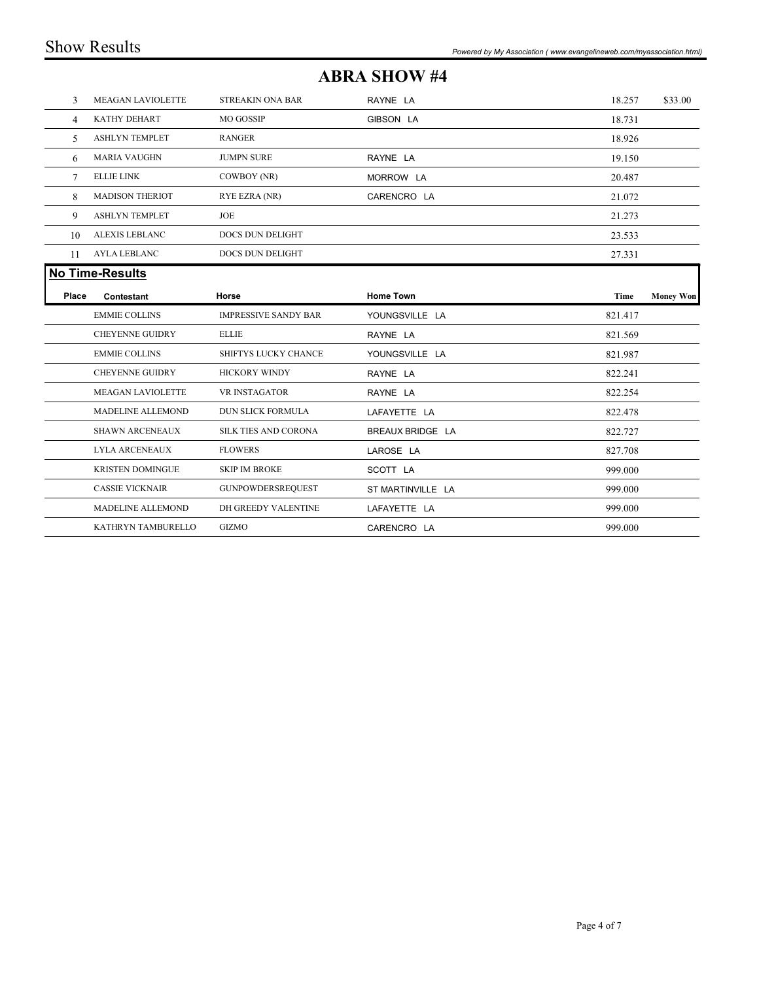|       | <b>Show Results</b>     |                             |                     | Powered by My Association (www.evangelineweb.com/myassociation.html) |                  |
|-------|-------------------------|-----------------------------|---------------------|----------------------------------------------------------------------|------------------|
|       |                         |                             | <b>ABRA SHOW #4</b> |                                                                      |                  |
| 3     | MEAGAN LAVIOLETTE       | STREAKIN ONA BAR            | RAYNE LA            | 18.257                                                               | \$33.00          |
| 4     | KATHY DEHART            | MO GOSSIP                   | GIBSON LA           | 18.731                                                               |                  |
| 5     | <b>ASHLYN TEMPLET</b>   | RANGER                      |                     | 18.926                                                               |                  |
| 6     | MARIA VAUGHN            | <b>JUMPN SURE</b>           | RAYNE LA            | 19.150                                                               |                  |
| 7     | ELLIE LINK              | COWBOY (NR)                 | MORROW LA           | 20.487                                                               |                  |
| 8     | <b>MADISON THERIOT</b>  | RYE EZRA (NR)               | CARENCRO LA         | 21.072                                                               |                  |
| 9     | <b>ASHLYN TEMPLET</b>   | JOE                         |                     | 21.273                                                               |                  |
| 10    | ALEXIS LEBLANC          | DOCS DUN DELIGHT            |                     | 23.533                                                               |                  |
| 11    | AYLA LEBLANC            | DOCS DUN DELIGHT            |                     | 27.331                                                               |                  |
|       | <b>No Time-Results</b>  |                             |                     |                                                                      |                  |
| Place | Contestant              | Horse                       | <b>Home Town</b>    | Time                                                                 | <b>Money Won</b> |
|       | <b>EMMIE COLLINS</b>    | <b>IMPRESSIVE SANDY BAR</b> | YOUNGSVILLE LA      | 821.417                                                              |                  |
|       | CHEYENNE GUIDRY         | $\textsc{ELLE}$             | RAYNE LA            | 821.569                                                              |                  |
|       | <b>EMMIE COLLINS</b>    | SHIFTYS LUCKY CHANCE        | YOUNGSVILLE LA      | 821.987                                                              |                  |
|       | CHEYENNE GUIDRY         | <b>HICKORY WINDY</b>        | RAYNE LA            | 822.241                                                              |                  |
|       | MEAGAN LAVIOLETTE       | VR INSTAGATOR               | RAYNE LA            | 822.254                                                              |                  |
|       | MADELINE ALLEMOND       | DUN SLICK FORMULA           | LAFAYETTE LA        | 822.478                                                              |                  |
|       | SHAWN ARCENEAUX         | SILK TIES AND CORONA        | BREAUX BRIDGE LA    | 822.727                                                              |                  |
|       | LYLA ARCENEAUX          | <b>FLOWERS</b>              | LAROSE LA           | 827.708                                                              |                  |
|       | <b>KRISTEN DOMINGUE</b> | <b>SKIP IM BROKE</b>        | SCOTT LA            | 999.000                                                              |                  |
|       | <b>CASSIE VICKNAIR</b>  | <b>GUNPOWDERSREQUEST</b>    | ST MARTINVILLE LA   | 999.000                                                              |                  |
|       | MADELINE ALLEMOND       | DH GREEDY VALENTINE         | LAFAYETTE LA        | 999.000                                                              |                  |
|       |                         | GIZMO                       | CARENCRO LA         | 999.000                                                              |                  |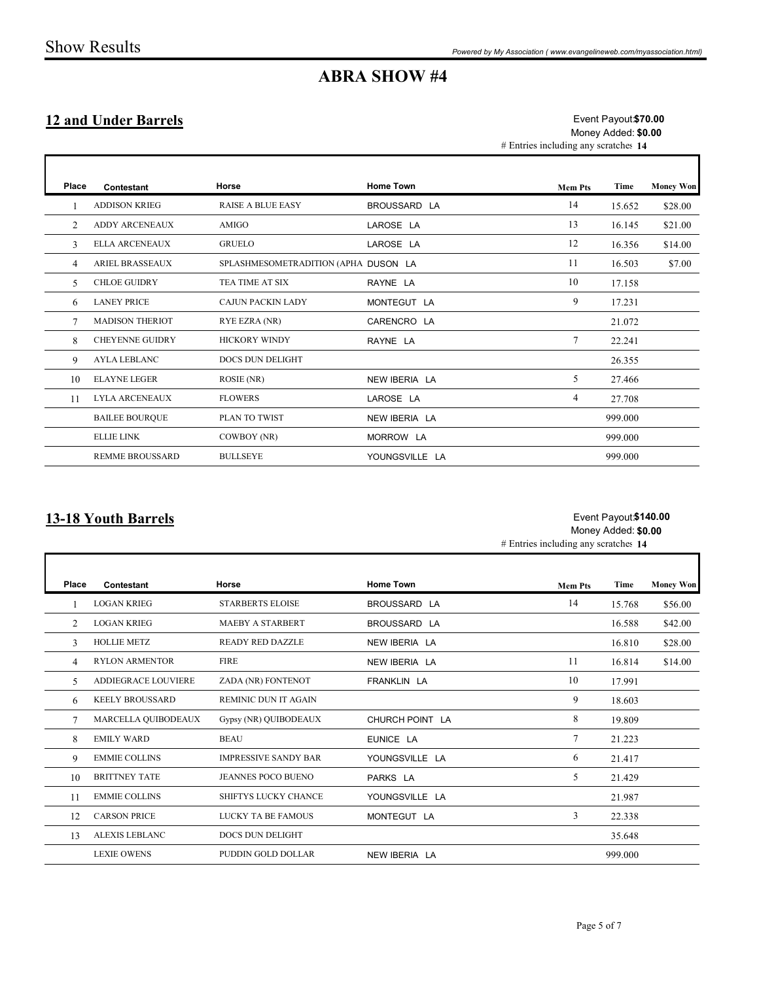## ABRA SHOW #4

## 12 and Under Barrels

|                |                             |                                      | <b>ABRA SHOW #4</b> |                                      |                                             | Powered by My Association (www.evangelineweb.com/myassociation.html) |
|----------------|-----------------------------|--------------------------------------|---------------------|--------------------------------------|---------------------------------------------|----------------------------------------------------------------------|
|                | <b>12 and Under Barrels</b> |                                      |                     | # Entries including any scratches 14 | Event Payout \$70.00<br>Money Added: \$0.00 |                                                                      |
| Place          | Contestant                  | Horse                                | <b>Home Town</b>    | <b>Mem Pts</b>                       | Time                                        | <b>Money Won</b>                                                     |
|                | <b>ADDISON KRIEG</b>        | RAISE A BLUE EASY                    | BROUSSARD LA        | 14                                   | 15.652                                      | \$28.00                                                              |
| 2              | ADDY ARCENEAUX              | <b>AMIGO</b>                         | LAROSE LA           | 13                                   | 16.145                                      | \$21.00                                                              |
| $\mathfrak{Z}$ | <b>ELLA ARCENEAUX</b>       | <b>GRUELO</b>                        | LAROSE LA           | 12                                   | 16.356                                      | \$14.00                                                              |
| $\overline{4}$ | <b>ARIEL BRASSEAUX</b>      | SPLASHMESOMETRADITION (APHA DUSON LA |                     | 11                                   | 16.503                                      | \$7.00                                                               |
| 5              | <b>CHLOE GUIDRY</b>         | TEA TIME AT SIX                      | RAYNE LA            | 10                                   | 17.158                                      |                                                                      |
| 6              | <b>LANEY PRICE</b>          | CAJUN PACKIN LADY                    | MONTEGUT LA         | 9                                    | 17.231                                      |                                                                      |
| 7              | <b>MADISON THERIOT</b>      | RYE EZRA (NR)                        | CARENCRO LA         |                                      | 21.072                                      |                                                                      |
| 8              | CHEYENNE GUIDRY             | HICKORY WINDY                        | RAYNE LA            | $7\phantom{.0}$                      | 22.241                                      |                                                                      |
| 9              | <b>AYLA LEBLANC</b>         | DOCS DUN DELIGHT                     |                     |                                      | 26.355                                      |                                                                      |
| 10             | <b>ELAYNE LEGER</b>         | ROSIE (NR)                           | NEW IBERIA LA       | 5                                    | 27.466                                      |                                                                      |
|                | 11 LYLA ARCENEAUX           | <b>FLOWERS</b>                       | LAROSE LA           | $\overline{4}$                       | 27.708                                      |                                                                      |
|                | <b>BAILEE BOURQUE</b>       | PLAN TO TWIST                        | NEW IBERIA LA       |                                      | 999.000                                     |                                                                      |
|                | ELLIE LINK                  | COWBOY (NR)                          | MORROW LA           |                                      | 999.000                                     |                                                                      |
|                | REMME BROUSSARD             | <b>BULLSEYE</b>                      | YOUNGSVILLE LA      |                                      | 999.000                                     |                                                                      |

## 13-18 Youth Barrels

#### # Entries including any scratches 14 Event Payout**\$140.00** Money Added: \$0.00

|                | <b>MADISON THERIOT</b>     | RYE EZRA (NR)               | CARENCRO LA      |                                      | 21.072                                       |           |
|----------------|----------------------------|-----------------------------|------------------|--------------------------------------|----------------------------------------------|-----------|
| 8              | <b>CHEYENNE GUIDRY</b>     | HICKORY WINDY               | RAYNE LA         | $7\phantom{.0}$                      | 22.241                                       |           |
| 9              | <b>AYLA LEBLANC</b>        | DOCS DUN DELIGHT            |                  |                                      | 26.355                                       |           |
| 10             | <b>ELAYNE LEGER</b>        | ROSIE (NR)                  | NEW IBERIA LA    | 5                                    | 27.466                                       |           |
| 11             | <b>LYLA ARCENEAUX</b>      | <b>FLOWERS</b>              | LAROSE LA        | $\overline{4}$                       | 27.708                                       |           |
|                | <b>BAILEE BOURQUE</b>      | PLAN TO TWIST               | NEW IBERIA LA    |                                      | 999.000                                      |           |
|                | <b>ELLIE LINK</b>          | COWBOY (NR)                 | MORROW LA        |                                      | 999.000                                      |           |
|                | <b>REMME BROUSSARD</b>     | <b>BULLSEYE</b>             | YOUNGSVILLE LA   |                                      | 999.000                                      |           |
|                | <b>13-18 Youth Barrels</b> |                             |                  | # Entries including any scratches 14 | Event Payout \$140.00<br>Money Added: \$0.00 |           |
| Place          | Contestant                 | Horse                       | <b>Home Town</b> | <b>Mem Pts</b>                       | Time                                         | Money Won |
|                | <b>LOGAN KRIEG</b>         | STARBERTS ELOISE            | BROUSSARD LA     | 14                                   | 15.768                                       | \$56.00   |
| $\overline{2}$ | <b>LOGAN KRIEG</b>         | MAEBY A STARBERT            | BROUSSARD LA     |                                      | 16.588                                       | \$42.00   |
| 3              | <b>HOLLIE METZ</b>         | <b>READY RED DAZZLE</b>     | NEW IBERIA LA    |                                      | 16.810                                       | \$28.00   |
| $\overline{4}$ | <b>RYLON ARMENTOR</b>      | FIRE                        | NEW IBERIA LA    | 11                                   | 16.814                                       | \$14.00   |
| 5              | ADDIEGRACE LOUVIERE        | ZADA (NR) FONTENOT          | FRANKLIN LA      | 10                                   | 17.991                                       |           |
| 6              | <b>KEELY BROUSSARD</b>     | REMINIC DUN IT AGAIN        |                  | 9                                    | 18.603                                       |           |
| $\tau$         | MARCELLA QUIBODEAUX        | Gypsy (NR) QUIBODEAUX       | CHURCH POINT LA  | 8                                    | 19.809                                       |           |
| 8              | <b>EMILY WARD</b>          | <b>BEAU</b>                 | EUNICE LA        | $7\phantom{.0}$                      | 21.223                                       |           |
| 9              | <b>EMMIE COLLINS</b>       | <b>IMPRESSIVE SANDY BAR</b> | YOUNGSVILLE LA   | 6                                    | 21.417                                       |           |
| 10             | <b>BRITTNEY TATE</b>       | JEANNES POCO BUENO          | PARKS LA         | 5                                    | 21.429                                       |           |
| 11             | <b>EMMIE COLLINS</b>       | SHIFTYS LUCKY CHANCE        | YOUNGSVILLE LA   |                                      | 21.987                                       |           |
| 12             | <b>CARSON PRICE</b>        | LUCKY TA BE FAMOUS          | MONTEGUT LA      | $\overline{3}$                       | 22.338                                       |           |
|                | 13 ALEXIS LEBLANC          | DOCS DUN DELIGHT            |                  |                                      | 35.648                                       |           |
|                | <b>LEXIE OWENS</b>         | PUDDIN GOLD DOLLAR          | NEW IBERIA LA    |                                      | 999.000                                      |           |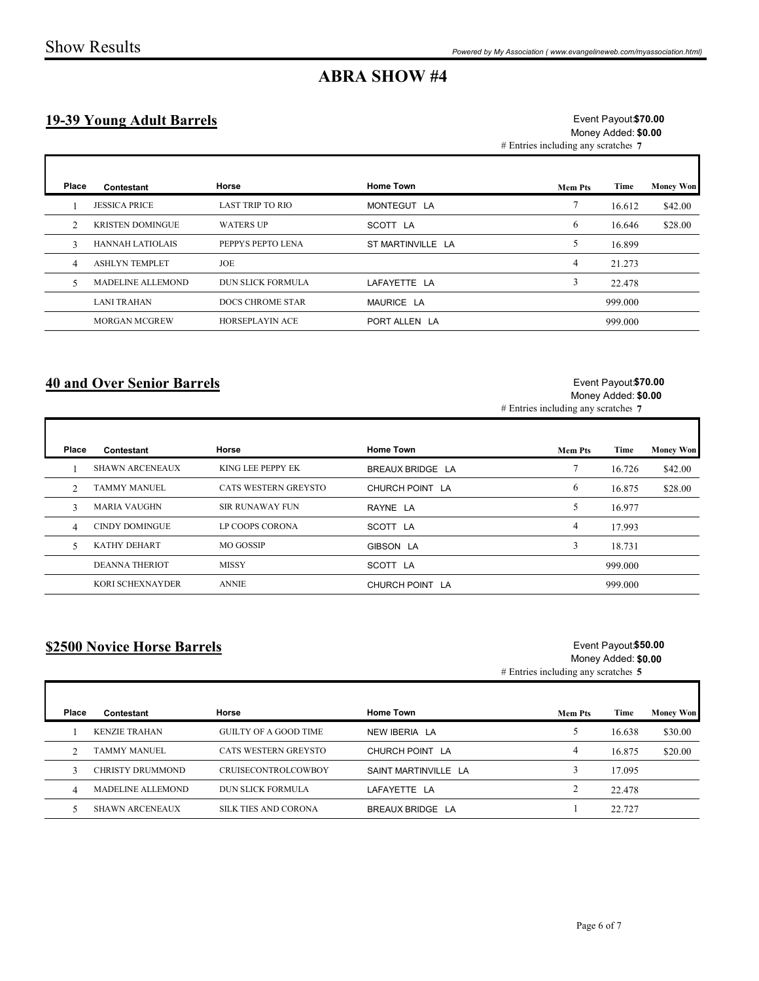## 19-39 Young Adult Barrels

| <b>ABRA SHOW #4</b><br>Event Payout \$70.00<br><b>19-39 Young Adult Barrels</b><br>Money Added: \$0.00<br># Entries including any scratches 7<br>Horse<br><b>Home Town</b><br><b>Money Won</b><br>Place<br>Time<br>Contestant<br><b>Mem Pts</b><br>$7\phantom{.0}$<br><b>JESSICA PRICE</b><br><b>LAST TRIP TO RIO</b><br>MONTEGUT LA<br>16.612<br>\$42.00<br><b>KRISTEN DOMINGUE</b><br><b>WATERS UP</b><br>6<br>\$28.00<br>2<br>SCOTT LA<br>16.646<br>5 <sup>5</sup><br>HANNAH LATIOLAIS<br>PEPPYS PEPTO LENA<br>ST MARTINVILLE LA<br>16.899<br>3<br>$\overline{4}$<br><b>ASHLYN TEMPLET</b><br>JOE<br>21.273<br>$\overline{4}$<br>$\mathfrak{Z}$<br>MADELINE ALLEMOND<br><b>DUN SLICK FORMULA</b><br>LAFAYETTE LA<br>22.478<br>5<br><b>LANI TRAHAN</b><br>DOCS CHROME STAR<br>MAURICE LA<br>999.000<br><b>MORGAN MCGREW</b><br>HORSEPLAYIN ACE<br>999.000<br>PORT ALLEN LA<br><b>40 and Over Senior Barrels</b><br>Event Payout \$70.00<br>Money Added: \$0.00<br># Entries including any scratches 7 |                | <b>Show Results</b>    |                      |                  | Powered by My Association (www.evangelineweb.com/myassociation.html) |        |                  |
|---------------------------------------------------------------------------------------------------------------------------------------------------------------------------------------------------------------------------------------------------------------------------------------------------------------------------------------------------------------------------------------------------------------------------------------------------------------------------------------------------------------------------------------------------------------------------------------------------------------------------------------------------------------------------------------------------------------------------------------------------------------------------------------------------------------------------------------------------------------------------------------------------------------------------------------------------------------------------------------------------------|----------------|------------------------|----------------------|------------------|----------------------------------------------------------------------|--------|------------------|
|                                                                                                                                                                                                                                                                                                                                                                                                                                                                                                                                                                                                                                                                                                                                                                                                                                                                                                                                                                                                         |                |                        |                      |                  |                                                                      |        |                  |
|                                                                                                                                                                                                                                                                                                                                                                                                                                                                                                                                                                                                                                                                                                                                                                                                                                                                                                                                                                                                         |                |                        |                      |                  |                                                                      |        |                  |
|                                                                                                                                                                                                                                                                                                                                                                                                                                                                                                                                                                                                                                                                                                                                                                                                                                                                                                                                                                                                         |                |                        |                      |                  |                                                                      |        |                  |
|                                                                                                                                                                                                                                                                                                                                                                                                                                                                                                                                                                                                                                                                                                                                                                                                                                                                                                                                                                                                         |                |                        |                      |                  |                                                                      |        |                  |
|                                                                                                                                                                                                                                                                                                                                                                                                                                                                                                                                                                                                                                                                                                                                                                                                                                                                                                                                                                                                         |                |                        |                      |                  |                                                                      |        |                  |
|                                                                                                                                                                                                                                                                                                                                                                                                                                                                                                                                                                                                                                                                                                                                                                                                                                                                                                                                                                                                         |                |                        |                      |                  |                                                                      |        |                  |
|                                                                                                                                                                                                                                                                                                                                                                                                                                                                                                                                                                                                                                                                                                                                                                                                                                                                                                                                                                                                         |                |                        |                      |                  |                                                                      |        |                  |
|                                                                                                                                                                                                                                                                                                                                                                                                                                                                                                                                                                                                                                                                                                                                                                                                                                                                                                                                                                                                         |                |                        |                      |                  |                                                                      |        |                  |
|                                                                                                                                                                                                                                                                                                                                                                                                                                                                                                                                                                                                                                                                                                                                                                                                                                                                                                                                                                                                         |                |                        |                      |                  |                                                                      |        |                  |
|                                                                                                                                                                                                                                                                                                                                                                                                                                                                                                                                                                                                                                                                                                                                                                                                                                                                                                                                                                                                         |                |                        |                      |                  |                                                                      |        |                  |
|                                                                                                                                                                                                                                                                                                                                                                                                                                                                                                                                                                                                                                                                                                                                                                                                                                                                                                                                                                                                         |                |                        |                      |                  |                                                                      |        |                  |
|                                                                                                                                                                                                                                                                                                                                                                                                                                                                                                                                                                                                                                                                                                                                                                                                                                                                                                                                                                                                         |                | Contestant             | Horse                | <b>Home Town</b> |                                                                      | Time   | <b>Money Won</b> |
| Place<br><b>Mem Pts</b>                                                                                                                                                                                                                                                                                                                                                                                                                                                                                                                                                                                                                                                                                                                                                                                                                                                                                                                                                                                 | -1             | <b>SHAWN ARCENEAUX</b> | KING LEE PEPPY EK    | BREAUX BRIDGE LA | $\tau$                                                               | 16.726 | \$42.00          |
|                                                                                                                                                                                                                                                                                                                                                                                                                                                                                                                                                                                                                                                                                                                                                                                                                                                                                                                                                                                                         | 2              | <b>TAMMY MANUEL</b>    | CATS WESTERN GREYSTO | CHURCH POINT LA  | 6                                                                    | 16.875 | \$28.00          |
|                                                                                                                                                                                                                                                                                                                                                                                                                                                                                                                                                                                                                                                                                                                                                                                                                                                                                                                                                                                                         | $\overline{3}$ | MARIA VAUGHN           | SIR RUNAWAY FUN      | RAYNE LA         | 5 <sub>5</sub>                                                       | 16.977 |                  |
|                                                                                                                                                                                                                                                                                                                                                                                                                                                                                                                                                                                                                                                                                                                                                                                                                                                                                                                                                                                                         | $\overline{4}$ | CINDY DOMINGUE         | LP COOPS CORONA      | SCOTT LA         | $\overline{4}$                                                       | 17.993 |                  |
|                                                                                                                                                                                                                                                                                                                                                                                                                                                                                                                                                                                                                                                                                                                                                                                                                                                                                                                                                                                                         |                | KATHY DEHART           | MO GOSSIP            | GIBSON LA        | $\mathbf{3}$                                                         | 18.731 |                  |
| 5                                                                                                                                                                                                                                                                                                                                                                                                                                                                                                                                                                                                                                                                                                                                                                                                                                                                                                                                                                                                       |                |                        |                      |                  |                                                                      |        |                  |

### 40 and Over Senior Barrels

Г

Г

#### Event Payout \$70.00 Money Added: \$0.00

| Place          | Contestant                  | Horse                        | <b>Home Town</b>     | <b>Mem Pts</b>                      | Time                                        | <b>Money Won</b> |
|----------------|-----------------------------|------------------------------|----------------------|-------------------------------------|---------------------------------------------|------------------|
|                | <b>SHAWN ARCENEAUX</b>      | KING LEE PEPPY EK            | BREAUX BRIDGE LA     | $7\phantom{.0}$                     | 16.726                                      | \$42.00          |
| 2              | <b>TAMMY MANUEL</b>         | CATS WESTERN GREYSTO         | CHURCH POINT LA      | 6                                   | 16.875                                      | \$28.00          |
| 3              | <b>MARIA VAUGHN</b>         | <b>SIR RUNAWAY FUN</b>       | RAYNE LA             | 5                                   | 16.977                                      |                  |
| $\overline{4}$ | <b>CINDY DOMINGUE</b>       | LP COOPS CORONA              | SCOTT LA             | $\overline{4}$                      | 17.993                                      |                  |
| 5              | KATHY DEHART                | MO GOSSIP                    | GIBSON LA            | 3                                   | 18.731                                      |                  |
|                | <b>DEANNA THERIOT</b>       | <b>MISSY</b>                 | SCOTT LA             |                                     | 999.000                                     |                  |
|                |                             |                              |                      |                                     |                                             |                  |
|                | KORI SCHEXNAYDER            | <b>ANNIE</b>                 | CHURCH POINT LA      |                                     | 999.000                                     |                  |
|                | \$2500 Novice Horse Barrels |                              |                      | # Entries including any scratches 5 | Event Payout \$50.00<br>Money Added: \$0.00 |                  |
| Place          | Contestant                  | Horse                        | <b>Home Town</b>     | <b>Mem Pts</b>                      | Time                                        | <b>Money Won</b> |
|                | <b>KENZIE TRAHAN</b>        | <b>GUILTY OF A GOOD TIME</b> | NEW IBERIA LA        | 5                                   | 16.638                                      | \$30.00          |
| 2              | <b>TAMMY MANUEL</b>         | CATS WESTERN GREYSTO         | CHURCH POINT LA      | $\overline{4}$                      | 16.875                                      | \$20.00          |
| 3              | CHRISTY DRUMMOND            | CRUISECONTROLCOWBOY          | SAINT MARTINVILLE LA | $\overline{3}$                      | 17.095                                      |                  |
| 4              | MADELINE ALLEMOND           | DUN SLICK FORMULA            | LAFAYETTE LA         | 2                                   | 22.478                                      |                  |

### \$2500 Novice Horse Barrels

#### # Entries including any scratches 5 Event Payout \$50.00 Money Added: \$0.00

| Place | Contestant             | Horse                      | <b>Home Town</b>     | <b>Mem Pts</b> | Time   | <b>Money Won</b> |
|-------|------------------------|----------------------------|----------------------|----------------|--------|------------------|
|       | <b>KENZIE TRAHAN</b>   | GUILTY OF A GOOD TIME      | NEW IBERIA LA        |                | 16.638 | \$30.00          |
|       | TAMMY MANUEL           | CATS WESTERN GREYSTO       | CHURCH POINT LA      |                | 16.875 | \$20.00          |
|       | CHRISTY DRUMMOND       | <b>CRUISECONTROLCOWBOY</b> | SAINT MARTINVILLE LA |                | 17.095 |                  |
|       | MADELINE ALLEMOND      | <b>DUN SLICK FORMULA</b>   | LAFAYETTE LA         |                | 22.478 |                  |
|       | <b>SHAWN ARCENEAUX</b> | SILK TIES AND CORONA       | BREAUX BRIDGE LA     |                | 22.727 |                  |
|       |                        |                            |                      |                |        |                  |